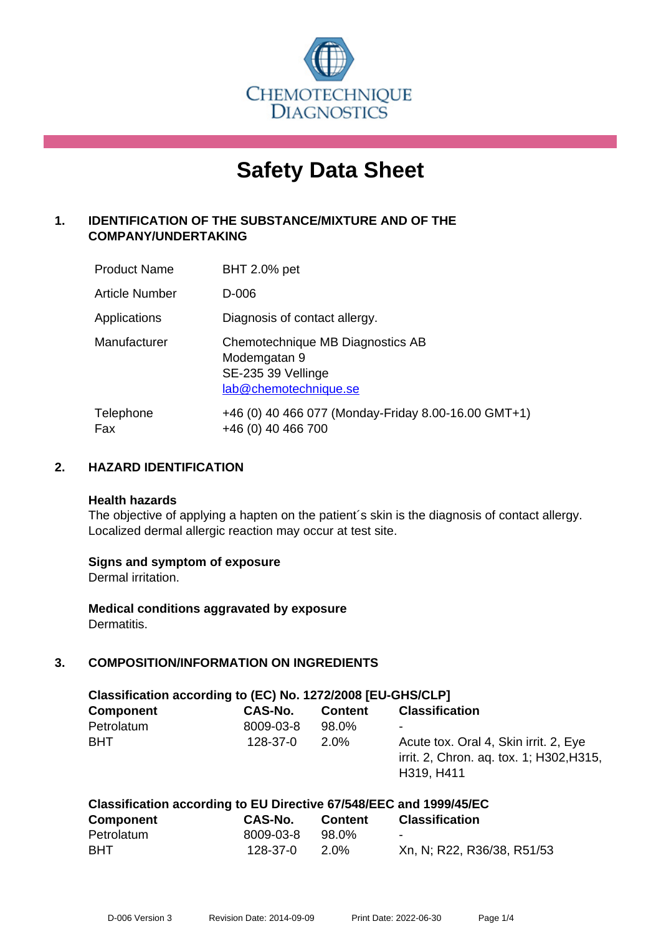

# **Safety Data Sheet**

# **1. IDENTIFICATION OF THE SUBSTANCE/MIXTURE AND OF THE COMPANY/UNDERTAKING**

| <b>Product Name</b> | <b>BHT 2.0% pet</b>                                                                             |
|---------------------|-------------------------------------------------------------------------------------------------|
| Article Number      | D-006                                                                                           |
| Applications        | Diagnosis of contact allergy.                                                                   |
| Manufacturer        | Chemotechnique MB Diagnostics AB<br>Modemgatan 9<br>SE-235 39 Vellinge<br>lab@chemotechnique.se |
| Telephone<br>Fax    | +46 (0) 40 466 077 (Monday-Friday 8.00-16.00 GMT+1)<br>+46 (0) 40 466 700                       |

## **2. HAZARD IDENTIFICATION**

#### **Health hazards**

The objective of applying a hapten on the patient's skin is the diagnosis of contact allergy. Localized dermal allergic reaction may occur at test site.

## **Signs and symptom of exposure**

Dermal irritation.

**Medical conditions aggravated by exposure** Dermatitis.

# **3. COMPOSITION/INFORMATION ON INGREDIENTS**

| Classification according to (EC) No. 1272/2008 [EU-GHS/CLP] |                |                |                                                                                                 |  |  |  |
|-------------------------------------------------------------|----------------|----------------|-------------------------------------------------------------------------------------------------|--|--|--|
| <b>Component</b>                                            | CAS-No.        | <b>Content</b> | <b>Classification</b>                                                                           |  |  |  |
| Petrolatum                                                  | 8009-03-8      | 98.0%          | ۰                                                                                               |  |  |  |
| <b>BHT</b>                                                  | $128 - 37 - 0$ | 2.0%           | Acute tox. Oral 4, Skin irrit. 2, Eye<br>irrit. 2, Chron. aq. tox. 1; H302, H315,<br>H319, H411 |  |  |  |

| Classification according to EU Directive 67/548/EEC and 1999/45/EC |           |                |                            |  |  |  |  |
|--------------------------------------------------------------------|-----------|----------------|----------------------------|--|--|--|--|
| <b>Component</b>                                                   | CAS-No.   | <b>Content</b> | <b>Classification</b>      |  |  |  |  |
| Petrolatum                                                         | 8009-03-8 | 98.0%          | $\sim$                     |  |  |  |  |
| <b>BHT</b>                                                         | 128-37-0  | 2.0%           | Xn, N; R22, R36/38, R51/53 |  |  |  |  |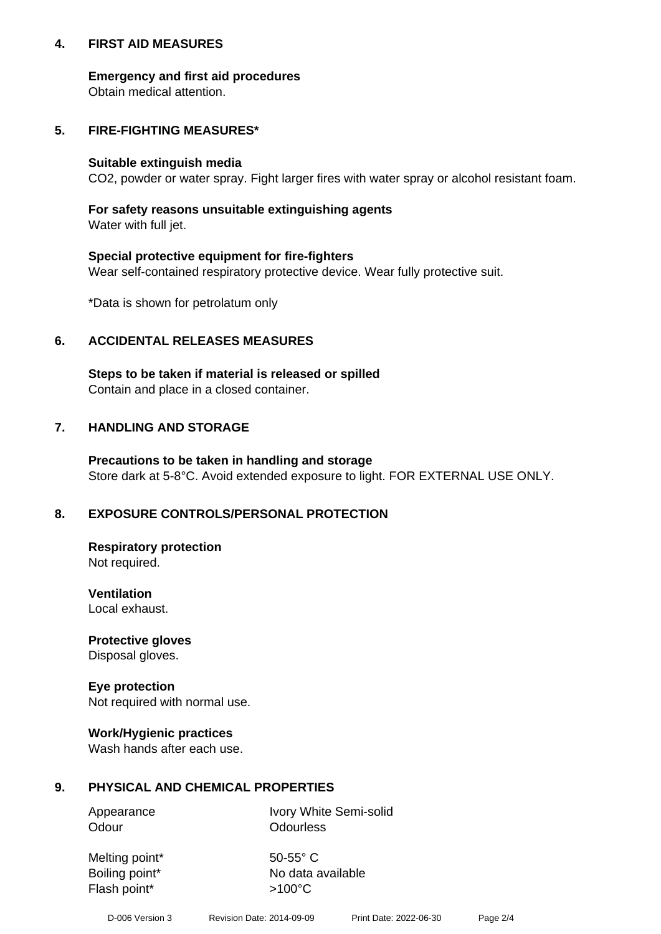## **4. FIRST AID MEASURES**

## **Emergency and first aid procedures**

Obtain medical attention.

# **5. FIRE-FIGHTING MEASURES\***

#### **Suitable extinguish media**

CO2, powder or water spray. Fight larger fires with water spray or alcohol resistant foam.

# **For safety reasons unsuitable extinguishing agents**

Water with full jet.

## **Special protective equipment for fire-fighters**

Wear self-contained respiratory protective device. Wear fully protective suit.

\*Data is shown for petrolatum only

## **6. ACCIDENTAL RELEASES MEASURES**

**Steps to be taken if material is released or spilled** Contain and place in a closed container.

# **7. HANDLING AND STORAGE**

**Precautions to be taken in handling and storage** Store dark at 5-8°C. Avoid extended exposure to light. FOR EXTERNAL USE ONLY.

# **8. EXPOSURE CONTROLS/PERSONAL PROTECTION**

**Respiratory protection** Not required.

**Ventilation** Local exhaust.

**Protective gloves** Disposal gloves.

#### **Eye protection** Not required with normal use.

## **Work/Hygienic practices**

Wash hands after each use.

## **9. PHYSICAL AND CHEMICAL PROPERTIES**

Odour **Odourless** 

Appearance Ivory White Semi-solid

Melting point\* 50-55° C Flash point\*  $>100^{\circ}$ C

Boiling point\* No data available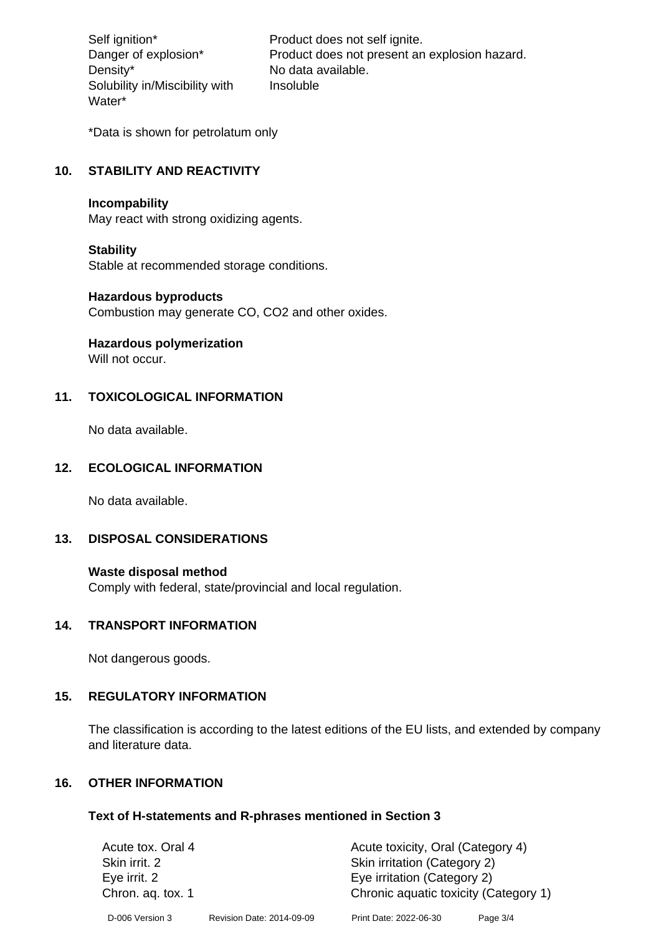Density\* No data available. Solubility in/Miscibility with Water\*

Self ignition\* Product does not self ignite. Danger of explosion\* Product does not present an explosion hazard. Insoluble

\*Data is shown for petrolatum only

# **10. STABILITY AND REACTIVITY**

#### **Incompability**

May react with strong oxidizing agents.

#### **Stability**

Stable at recommended storage conditions.

#### **Hazardous byproducts**

Combustion may generate CO, CO2 and other oxides.

**Hazardous polymerization**

Will not occur.

## **11. TOXICOLOGICAL INFORMATION**

No data available.

#### **12. ECOLOGICAL INFORMATION**

No data available.

## **13. DISPOSAL CONSIDERATIONS**

#### **Waste disposal method**

Comply with federal, state/provincial and local regulation.

#### **14. TRANSPORT INFORMATION**

Not dangerous goods.

## **15. REGULATORY INFORMATION**

The classification is according to the latest editions of the EU lists, and extended by company and literature data.

#### **16. OTHER INFORMATION**

#### **Text of H-statements and R-phrases mentioned in Section 3**

| Acute tox. Oral 4 |                           | Acute toxicity, Oral (Category 4)     |          |  |
|-------------------|---------------------------|---------------------------------------|----------|--|
| Skin irrit. 2     |                           | Skin irritation (Category 2)          |          |  |
| Eye irrit. 2      |                           | Eye irritation (Category 2)           |          |  |
| Chron. aq. tox. 1 |                           | Chronic aquatic toxicity (Category 1) |          |  |
| D-006 Version 3   | Revision Date: 2014-09-09 | Print Date: 2022-06-30                | Page 3/4 |  |